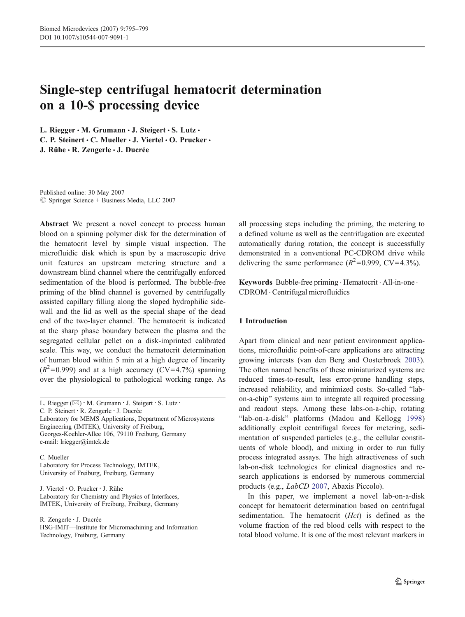# Single-step centrifugal hematocrit determination on a 10-\$ processing device

L. Riegger · M. Grumann · J. Steigert · S. Lutz · C. P. Steinert · C. Mueller · J. Viertel · O. Prucker · J. Rühe · R. Zengerle · J. Ducrée

Published online: 30 May 2007  $\circledcirc$  Springer Science + Business Media, LLC 2007

Abstract We present a novel concept to process human blood on a spinning polymer disk for the determination of the hematocrit level by simple visual inspection. The microfluidic disk which is spun by a macroscopic drive unit features an upstream metering structure and a downstream blind channel where the centrifugally enforced sedimentation of the blood is performed. The bubble-free priming of the blind channel is governed by centrifugally assisted capillary filling along the sloped hydrophilic sidewall and the lid as well as the special shape of the dead end of the two-layer channel. The hematocrit is indicated at the sharp phase boundary between the plasma and the segregated cellular pellet on a disk-imprinted calibrated scale. This way, we conduct the hematocrit determination of human blood within 5 min at a high degree of linearity  $(R^2=0.999)$  and at a high accuracy (CV=4.7%) spanning over the physiological to pathological working range. As

L. Riegger ( $\boxtimes$ ) · M. Grumann · J. Steigert · S. Lutz ·

C. P. Steinert : R. Zengerle : J. Ducrée

Laboratory for MEMS Applications, Department of Microsystems Engineering (IMTEK), University of Freiburg, Georges-Koehler-Allee 106, 79110 Freiburg, Germany e-mail: lriegger@imtek.de

C. Mueller Laboratory for Process Technology, IMTEK, University of Freiburg, Freiburg, Germany

J. Viertel : O. Prucker : J. Rühe Laboratory for Chemistry and Physics of Interfaces, IMTEK, University of Freiburg, Freiburg, Germany

R. Zengerle : J. Ducrée

HSG-IMIT––Institute for Micromachining and Information Technology, Freiburg, Germany

all processing steps including the priming, the metering to a defined volume as well as the centrifugation are executed automatically during rotation, the concept is successfully demonstrated in a conventional PC-CDROM drive while delivering the same performance  $(R^2=0.999, CV=4.3\%)$ .

Keywords Bubble-free priming . Hematocrit . All-in-one . CDROM . Centrifugal microfluidics

## 1 Introduction

Apart from clinical and near patient environment applications, microfluidic point-of-care applications are attracting growing interests (van den Berg and Oosterbroek [2003\)](#page-4-0). The often named benefits of these miniaturized systems are reduced times-to-result, less error-prone handling steps, increased reliability, and minimized costs. So-called "labon-a-chip" systems aim to integrate all required processing and readout steps. Among these labs-on-a-chip, rotating "lab-on-a-disk" platforms (Madou and Kellogg [1998](#page-4-0)) additionally exploit centrifugal forces for metering, sedimentation of suspended particles (e.g., the cellular constituents of whole blood), and mixing in order to run fully process integrated assays. The high attractiveness of such lab-on-disk technologies for clinical diagnostics and research applications is endorsed by numerous commercial products (e.g., LabCD [2007](#page-4-0), Abaxis Piccolo).

In this paper, we implement a novel lab-on-a-disk concept for hematocrit determination based on centrifugal sedimentation. The hematocrit (Hct) is defined as the volume fraction of the red blood cells with respect to the total blood volume. It is one of the most relevant markers in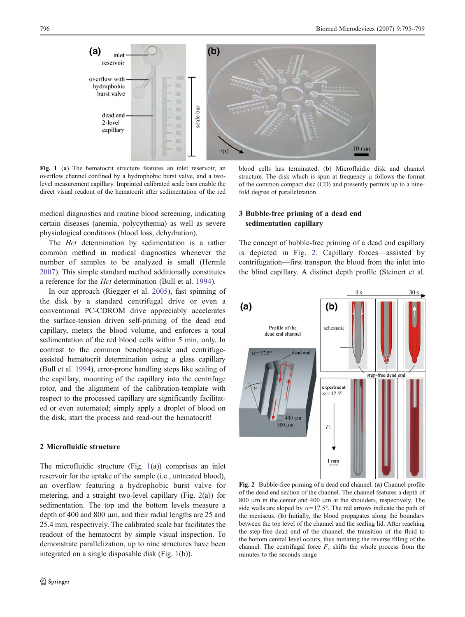<span id="page-1-0"></span>

Fig. 1 (a) The hematocrit structure features an inlet reservoir, an overflow channel confined by a hydrophobic burst valve, and a twolevel measurement capillary. Imprinted calibrated scale bars enable the direct visual readout of the hematocrit after sedimentation of the red

medical diagnostics and routine blood screening, indicating certain diseases (anemia, polycythemia) as well as severe physiological conditions (blood loss, dehydration).

The *Hct* determination by sedimentation is a rather common method in medical diagnostics whenever the number of samples to be analyzed is small (Hermle [2007\)](#page-4-0). This simple standard method additionally constitutes a reference for the Hct determination (Bull et al. [1994\)](#page-4-0).

In our approach (Riegger et al. [2005\)](#page-4-0), fast spinning of the disk by a standard centrifugal drive or even a conventional PC-CDROM drive appreciably accelerates the surface-tension driven self-priming of the dead end capillary, meters the blood volume, and enforces a total sedimentation of the red blood cells within 5 min, only. In contrast to the common benchtop-scale and centrifugeassisted hematocrit determination using a glass capillary (Bull et al. [1994](#page-4-0)), error-prone handling steps like sealing of the capillary, mounting of the capillary into the centrifuge rotor, and the alignment of the calibration-template with respect to the processed capillary are significantly facilitated or even automated; simply apply a droplet of blood on the disk, start the process and read-out the hematocrit!

# 2 Microfluidic structure

The microfluidic structure (Fig. 1(a)) comprises an inlet reservoir for the uptake of the sample (i.e., untreated blood), an overflow featuring a hydrophobic burst valve for metering, and a straight two-level capillary (Fig. 2(a)) for sedimentation. The top and the bottom levels measure a depth of 400 and 800 μm, and their radial lengths are 25 and 25.4 mm, respectively. The calibrated scale bar facilitates the readout of the hematocrit by simple visual inspection. To demonstrate parallelization, up to nine structures have been integrated on a single disposable disk (Fig. 1(b)).

blood cells has terminated. (b) Microfluidic disk and channel structure. The disk which is spun at frequency  $\mu$  follows the format of the common compact disc (CD) and presently permits up to a ninefold degree of parallelization

# 3 Bubble-free priming of a dead end sedimentation capillary

The concept of bubble-free priming of a dead end capillary is depicted in Fig. 2. Capillary forces—assisted by centrifugation—first transport the blood from the inlet into the blind capillary. A distinct depth profile (Steinert et al.



Fig. 2 Bubble-free priming of a dead end channel. (a) Channel profile of the dead end section of the channel. The channel features a depth of 800 μm in the center and 400 μm at the shoulders, respectively. The side walls are sloped by  $\alpha = 17.5^{\circ}$ . The red arrows indicate the path of the meniscus. (b) Initially, the blood propagates along the boundary between the top level of the channel and the sealing lid. After reaching the step-free dead end of the channel, the transition of the fluid to the bottom central level occurs, thus initiating the reverse filling of the channel. The centrifugal force  $F_{\nu}$  shifts the whole process from the minutes to the seconds range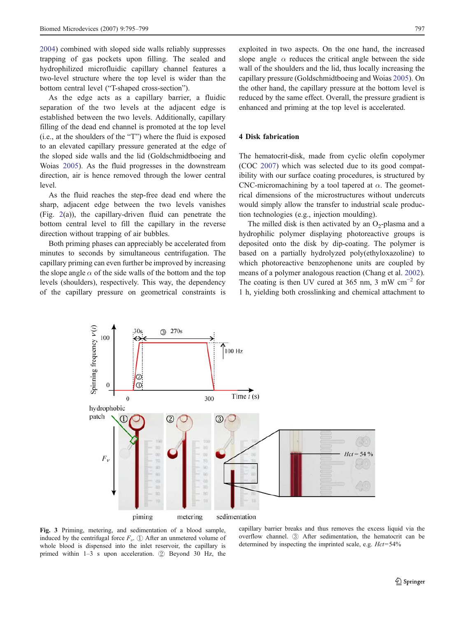<span id="page-2-0"></span>[2004\)](#page-4-0) combined with sloped side walls reliably suppresses trapping of gas pockets upon filling. The sealed and hydrophilized microfluidic capillary channel features a two-level structure where the top level is wider than the bottom central level ("T-shaped cross-section").

As the edge acts as a capillary barrier, a fluidic separation of the two levels at the adjacent edge is established between the two levels. Additionally, capillary filling of the dead end channel is promoted at the top level (i.e., at the shoulders of the "T") where the fluid is exposed to an elevated capillary pressure generated at the edge of the sloped side walls and the lid (Goldschmidtboeing and Woias [2005\)](#page-4-0). As the fluid progresses in the downstream direction, air is hence removed through the lower central level.

As the fluid reaches the step-free dead end where the sharp, adjacent edge between the two levels vanishes (Fig. [2\(](#page-1-0)a)), the capillary-driven fluid can penetrate the bottom central level to fill the capillary in the reverse direction without trapping of air bubbles.

Both priming phases can appreciably be accelerated from minutes to seconds by simultaneous centrifugation. The capillary priming can even further be improved by increasing the slope angle  $\alpha$  of the side walls of the bottom and the top levels (shoulders), respectively. This way, the dependency of the capillary pressure on geometrical constraints is exploited in two aspects. On the one hand, the increased slope angle  $\alpha$  reduces the critical angle between the side wall of the shoulders and the lid, thus locally increasing the capillary pressure (Goldschmidtboeing and Woias [2005\)](#page-4-0). On the other hand, the capillary pressure at the bottom level is reduced by the same effect. Overall, the pressure gradient is enhanced and priming at the top level is accelerated.

## 4 Disk fabrication

The hematocrit-disk, made from cyclic olefin copolymer (COC [2007\)](#page-4-0) which was selected due to its good compatibility with our surface coating procedures, is structured by CNC-micromachining by a tool tapered at  $\alpha$ . The geometrical dimensions of the microstructures without undercuts would simply allow the transfer to industrial scale production technologies (e.g., injection moulding).

The milled disk is then activated by an  $O_2$ -plasma and a hydrophilic polymer displaying photoreactive groups is deposited onto the disk by dip-coating. The polymer is based on a partially hydrolyzed poly(ethyloxazoline) to which photoreactive benzophenone units are coupled by means of a polymer analogous reaction (Chang et al. [2002\)](#page-4-0). The coating is then UV cured at 365 nm, 3 mW cm<sup>-2</sup> for 1 h, yielding both crosslinking and chemical attachment to



Fig. 3 Priming, metering, and sedimentation of a blood sample, induced by the centrifugal force  $F_{\nu}$ .  $(1)$  After an unmetered volume of whole blood is dispensed into the inlet reservoir, the capillary is primed within 1–3 s upon acceleration. ② Beyond 30 Hz, the

capillary barrier breaks and thus removes the excess liquid via the overflow channel. ③ After sedimentation, the hematocrit can be determined by inspecting the imprinted scale, e.g.  $Hct = 54\%$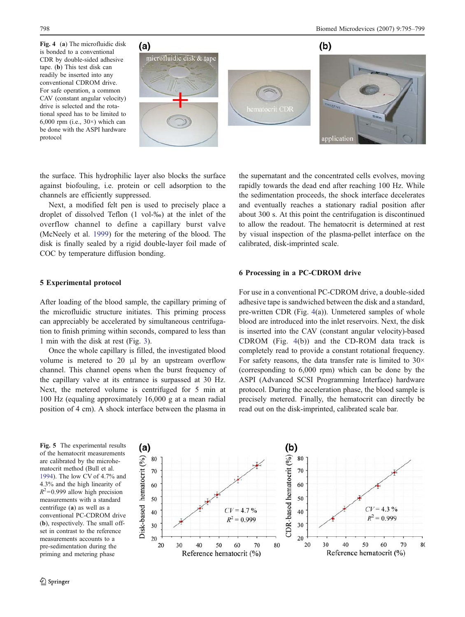<span id="page-3-0"></span>Fig. 4 (a) The microfluidic disk is bonded to a conventional CDR by double-sided adhesive tape. (b) This test disk can readily be inserted into any conventional CDROM drive. For safe operation, a common CAV (constant angular velocity) drive is selected and the rotational speed has to be limited to 6,000 rpm (i.e.,  $30\times$ ) which can be done with the ASPI hardware protocol



the surface. This hydrophilic layer also blocks the surface against biofouling, i.e. protein or cell adsorption to the channels are efficiently suppressed.

Next, a modified felt pen is used to precisely place a droplet of dissolved Teflon (1 vol-‰) at the inlet of the overflow channel to define a capillary burst valve (McNeely et al. [1999](#page-4-0)) for the metering of the blood. The disk is finally sealed by a rigid double-layer foil made of COC by temperature diffusion bonding.

#### 5 Experimental protocol

After loading of the blood sample, the capillary priming of the microfluidic structure initiates. This priming process can appreciably be accelerated by simultaneous centrifugation to finish priming within seconds, compared to less than 1 min with the disk at rest (Fig. [3](#page-2-0)).

Once the whole capillary is filled, the investigated blood volume is metered to 20 μl by an upstream overflow channel. This channel opens when the burst frequency of the capillary valve at its entrance is surpassed at 30 Hz. Next, the metered volume is centrifuged for 5 min at 100 Hz (equaling approximately 16,000 g at a mean radial position of 4 cm). A shock interface between the plasma in

the supernatant and the concentrated cells evolves, moving rapidly towards the dead end after reaching 100 Hz. While the sedimentation proceeds, the shock interface decelerates and eventually reaches a stationary radial position after about 300 s. At this point the centrifugation is discontinued to allow the readout. The hematocrit is determined at rest by visual inspection of the plasma-pellet interface on the calibrated, disk-imprinted scale.

# 6 Processing in a PC-CDROM drive

For use in a conventional PC-CDROM drive, a double-sided adhesive tape is sandwiched between the disk and a standard, pre-written CDR (Fig. 4(a)). Unmetered samples of whole blood are introduced into the inlet reservoirs. Next, the disk is inserted into the CAV (constant angular velocity)-based CDROM (Fig. 4(b)) and the CD-ROM data track is completely read to provide a constant rotational frequency. For safety reasons, the data transfer rate is limited to  $30\times$ (corresponding to 6,000 rpm) which can be done by the ASPI (Advanced SCSI Programming Interface) hardware protocol. During the acceleration phase, the blood sample is precisely metered. Finally, the hematocrit can directly be read out on the disk-imprinted, calibrated scale bar.

Fig. 5 The experimental results of the hematocrit measurements are calibrated by the microhematocrit method (Bull et al. [1994\)](#page-4-0). The low CV of 4.7% and 4.3% and the high linearity of  $R^2$ =0.999 allow high precision measurements with a standard centrifuge (a) as well as a conventional PC-CDROM drive (b), respectively. The small offset in contrast to the reference measurements accounts to a pre-sedimentation during the priming and metering phase